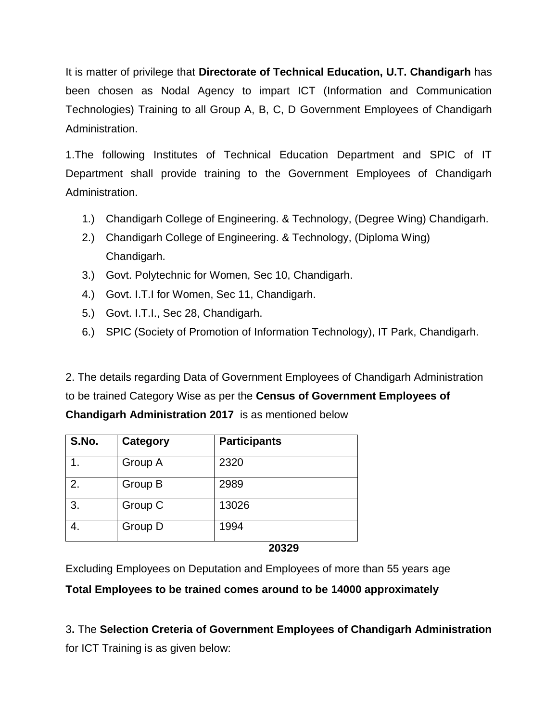It is matter of privilege that **Directorate of Technical Education, U.T. Chandigarh** has been chosen as Nodal Agency to impart ICT (Information and Communication Technologies) Training to all Group A, B, C, D Government Employees of Chandigarh Administration.

1.The following Institutes of Technical Education Department and SPIC of IT Department shall provide training to the Government Employees of Chandigarh Administration.

- 1.) Chandigarh College of Engineering. & Technology, (Degree Wing) Chandigarh.
- 2.) Chandigarh College of Engineering. & Technology, (Diploma Wing) Chandigarh.
- 3.) Govt. Polytechnic for Women, Sec 10, Chandigarh.
- 4.) Govt. I.T.I for Women, Sec 11, Chandigarh.
- 5.) Govt. I.T.I., Sec 28, Chandigarh.
- 6.) SPIC (Society of Promotion of Information Technology), IT Park, Chandigarh.

2. The details regarding Data of Government Employees of Chandigarh Administration to be trained Category Wise as per the **Census of Government Employees of Chandigarh Administration 2017** is as mentioned below

| S.No. | Category | <b>Participants</b> |  |
|-------|----------|---------------------|--|
|       | Group A  | 2320                |  |
| 2.    | Group B  | 2989                |  |
| 3.    | Group C  | 13026               |  |
|       | Group D  | 1994                |  |

#### **20329**

Excluding Employees on Deputation and Employees of more than 55 years age

**Total Employees to be trained comes around to be 14000 approximately**

3**.** The **Selection Creteria of Government Employees of Chandigarh Administration** for ICT Training is as given below: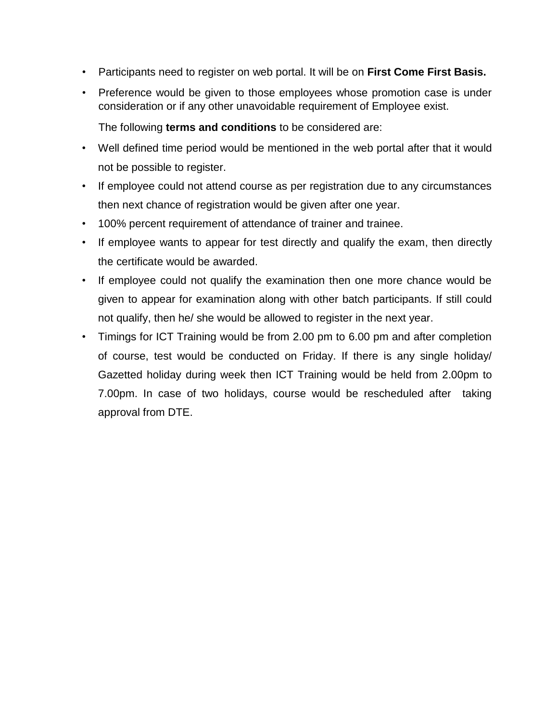- Participants need to register on web portal. It will be on **First Come First Basis.**
- Preference would be given to those employees whose promotion case is under consideration or if any other unavoidable requirement of Employee exist.

The following **terms and conditions** to be considered are:

- Well defined time period would be mentioned in the web portal after that it would not be possible to register.
- If employee could not attend course as per registration due to any circumstances then next chance of registration would be given after one year.
- 100% percent requirement of attendance of trainer and trainee.
- If employee wants to appear for test directly and qualify the exam, then directly the certificate would be awarded.
- If employee could not qualify the examination then one more chance would be given to appear for examination along with other batch participants. If still could not qualify, then he/ she would be allowed to register in the next year.
- Timings for ICT Training would be from 2.00 pm to 6.00 pm and after completion of course, test would be conducted on Friday. If there is any single holiday/ Gazetted holiday during week then ICT Training would be held from 2.00pm to 7.00pm. In case of two holidays, course would be rescheduled after taking approval from DTE.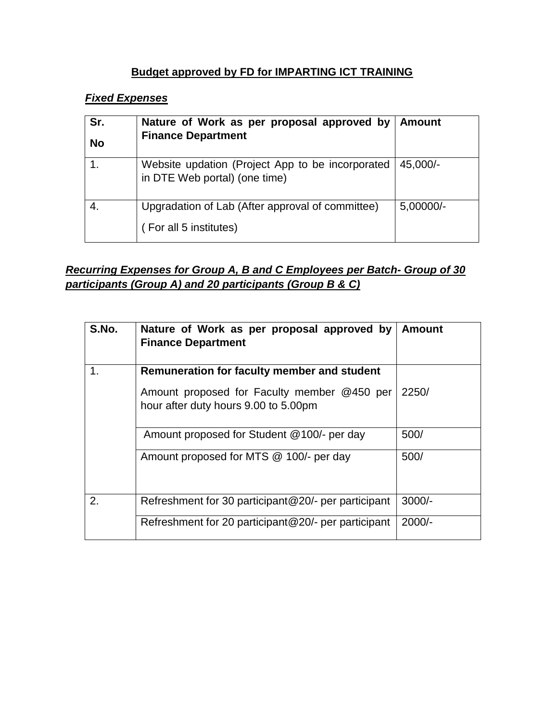#### **Budget approved by FD for IMPARTING ICT TRAINING**

### *Fixed Expenses*

| Sr.<br><b>No</b> | Nature of Work as per proposal approved by   Amount<br><b>Finance Department</b>  |             |
|------------------|-----------------------------------------------------------------------------------|-------------|
|                  | Website updation (Project App to be incorporated<br>in DTE Web portal) (one time) | 45.000/-    |
|                  | Upgradation of Lab (After approval of committee)<br>(For all 5 institutes)        | $5,00000/-$ |

## *Recurring Expenses for Group A, B and C Employees per Batch- Group of 30 participants (Group A) and 20 participants (Group B & C)*

| S.No. | Nature of Work as per proposal approved by<br><b>Finance Department</b>             | <b>Amount</b> |
|-------|-------------------------------------------------------------------------------------|---------------|
| 1.    | Remuneration for faculty member and student                                         |               |
|       | Amount proposed for Faculty member @450 per<br>hour after duty hours 9.00 to 5.00pm | 2250/         |
|       | Amount proposed for Student @100/- per day                                          | 500/          |
|       | Amount proposed for MTS @ 100/- per day                                             | 500/          |
| 2.    | Refreshment for 30 participant@20/- per participant                                 | $3000/-$      |
|       | Refreshment for 20 participant@20/- per participant                                 | $2000/-$      |